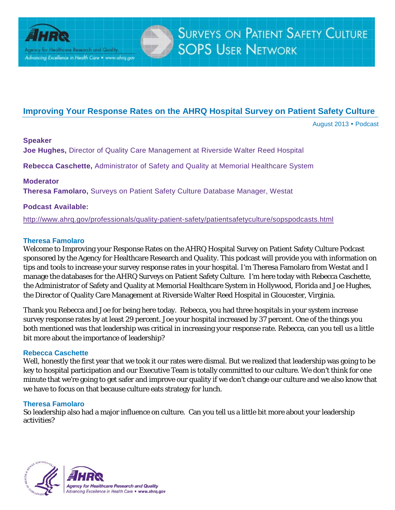

Agency for Healthcare Research and Quality Advancing Excellence in Health Care . www.ahrq.gov

# **Improving Your Response Rates on the AHRQ Hospital Survey on Patient Safety Culture**

August 2013 Podcast

# **Speaker**

**Joe Hughes,** Director of Quality Care Management at Riverside Walter Reed Hospital

**Rebecca Caschette,** Administrator of Safety and Quality at Memorial Healthcare System

# **Moderator**

**Theresa Famolaro,** Surveys on Patient Safety Culture Database Manager, Westat

# **Podcast Available:**

<http://www.ahrq.gov/professionals/quality-patient-safety/patientsafetyculture/sopspodcasts.html>

# **Theresa Famolaro**

Welcome to Improving your Response Rates on the AHRQ Hospital Survey on Patient Safety Culture Podcast sponsored by the Agency for Healthcare Research and Quality. This podcast will provide you with information on tips and tools to increase your survey response rates in your hospital. I'm Theresa Famolaro from Westat and I manage the databases for the AHRQ Surveys on Patient Safety Culture. I'm here today with Rebecca Caschette, the Administrator of Safety and Quality at Memorial Healthcare System in Hollywood, Florida and Joe Hughes, the Director of Quality Care Management at Riverside Walter Reed Hospital in Gloucester, Virginia.

Thank you Rebecca and Joe for being here today. Rebecca, you had three hospitals in your system increase survey response rates by at least 29 percent. Joe your hospital increased by 37 percent. One of the things you both mentioned was that leadership was critical in increasing your response rate. Rebecca, can you tell us a little bit more about the importance of leadership?

# **Rebecca Caschette**

Well, honestly the first year that we took it our rates were dismal. But we realized that leadership was going to be key to hospital participation and our Executive Team is totally committed to our culture. We don't think for one minute that we're going to get safer and improve our quality if we don't change our culture and we also know that we have to focus on that because culture eats strategy for lunch.

# **Theresa Famolaro**

So leadership also had a major influence on culture. Can you tell us a little bit more about your leadership activities?

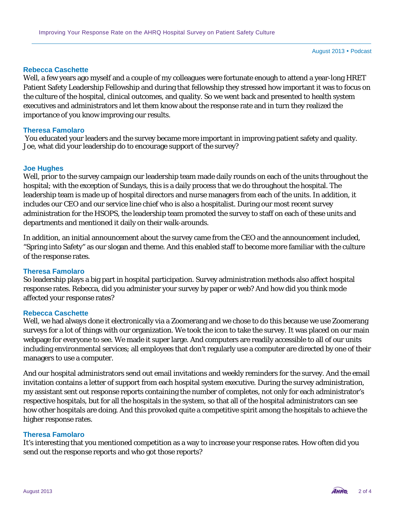### **Rebecca Caschette**

Well, a few years ago myself and a couple of my colleagues were fortunate enough to attend a year-long HRET Patient Safety Leadership Fellowship and during that fellowship they stressed how important it was to focus on the culture of the hospital, clinical outcomes, and quality. So we went back and presented to health system executives and administrators and let them know about the response rate and in turn they realized the importance of you know improving our results.

# **Theresa Famolaro**

You educated your leaders and the survey became more important in improving patient safety and quality. Joe, what did your leadership do to encourage support of the survey?

#### **Joe Hughes**

Well, prior to the survey campaign our leadership team made daily rounds on each of the units throughout the hospital; with the exception of Sundays, this is a daily process that we do throughout the hospital. The leadership team is made up of hospital directors and nurse managers from each of the units. In addition, it includes our CEO and our service line chief who is also a hospitalist. During our most recent survey administration for the HSOPS, the leadership team promoted the survey to staff on each of these units and departments and mentioned it daily on their walk-arounds.

In addition, an initial announcement about the survey came from the CEO and the announcement included, "Spring into Safety" as our slogan and theme. And this enabled staff to become more familiar with the culture of the response rates.

# **Theresa Famolaro**

So leadership plays a big part in hospital participation. Survey administration methods also affect hospital response rates. Rebecca, did you administer your survey by paper or web? And how did you think mode affected your response rates?

# **Rebecca Caschette**

Well, we had always done it electronically via a Zoomerang and we chose to do this because we use Zoomerang surveys for a lot of things with our organization. We took the icon to take the survey. It was placed on our main webpage for everyone to see. We made it super large. And computers are readily accessible to all of our units including environmental services; all employees that don't regularly use a computer are directed by one of their managers to use a computer.

And our hospital administrators send out email invitations and weekly reminders for the survey. And the email invitation contains a letter of support from each hospital system executive. During the survey administration, my assistant sent out response reports containing the number of completes, not only for each administrator's respective hospitals, but for all the hospitals in the system, so that all of the hospital administrators can see how other hospitals are doing. And this provoked quite a competitive spirit among the hospitals to achieve the higher response rates.

# **Theresa Famolaro**

It's interesting that you mentioned competition as a way to increase your response rates. How often did you send out the response reports and who got those reports?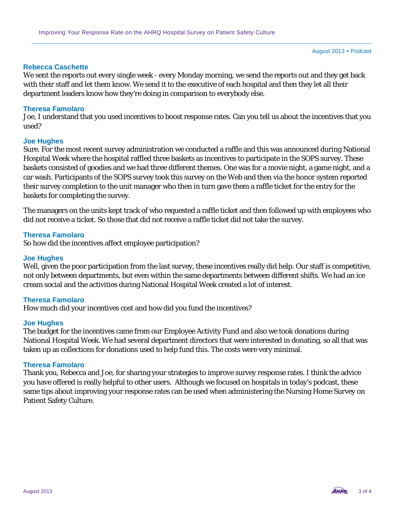# **Rebecca Caschette**

We sent the reports out every single week - every Monday morning, we send the reports out and they get back with their staff and let them know. We send it to the executive of each hospital and then they let all their department leaders know how they're doing in comparison to everybody else.

# **Theresa Famolaro**

Joe, I understand that you used incentives to boost response rates. Can you tell us about the incentives that you used?

### **Joe Hughes**

Sure. For the most recent survey administration we conducted a raffle and this was announced during National Hospital Week where the hospital raffled three baskets as incentives to participate in the SOPS survey. These baskets consisted of goodies and we had three different themes. One was for a movie night, a game night, and a car wash. Participants of the SOPS survey took this survey on the Web and then via the honor system reported their survey completion to the unit manager who then in turn gave them a raffle ticket for the entry for the baskets for completing the survey.

The managers on the units kept track of who requested a raffle ticket and then followed up with employees who did not receive a ticket. So those that did not receive a raffle ticket did not take the survey.

# **Theresa Famolaro**

So how did the incentives affect employee participation?

# **Joe Hughes**

Well, given the poor participation from the last survey, these incentives really did help. Our staff is competitive, not only between departments, but even within the same departments between different shifts. We had an ice cream social and the activities during National Hospital Week created a lot of interest.

# **Theresa Famolaro**

How much did your incentives cost and how did you fund the incentives?

#### **Joe Hughes**

The budget for the incentives came from our Employee Activity Fund and also we took donations during National Hospital Week. We had several department directors that were interested in donating, so all that was taken up as collections for donations used to help fund this. The costs were very minimal.

### **Theresa Famolaro**

Thank you, Rebecca and Joe, for sharing your strategies to improve survey response rates. I think the advice you have offered is really helpful to other users. Although we focused on hospitals in today's podcast, these same tips about improving your response rates can be used when administering the Nursing Home Survey on Patient Safety Culture.